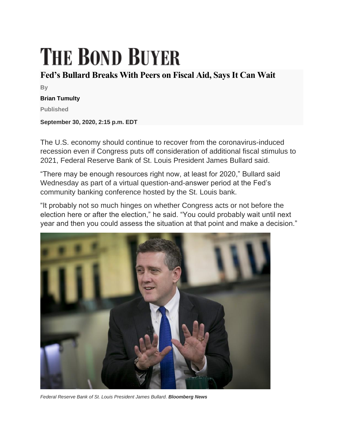## **THE BOND BUYER**

## **Fed's Bullard Breaks With Peers on Fiscal Aid, Says It Can Wait**

**By**

## **Brian Tumulty**

**Published**

**September 30, 2020, 2:15 p.m. EDT**

The U.S. economy should continue to recover from the coronavirus-induced recession even if Congress puts off consideration of additional fiscal stimulus to 2021, Federal Reserve Bank of St. Louis President James Bullard said.

"There may be enough resources right now, at least for 2020," Bullard said Wednesday as part of a virtual question-and-answer period at the Fed's community banking conference hosted by the St. Louis bank.

"It probably not so much hinges on whether Congress acts or not before the election here or after the election," he said. "You could probably wait until next year and then you could assess the situation at that point and make a decision."



*Federal Reserve Bank of St. Louis President James Bullard. Bloomberg News*